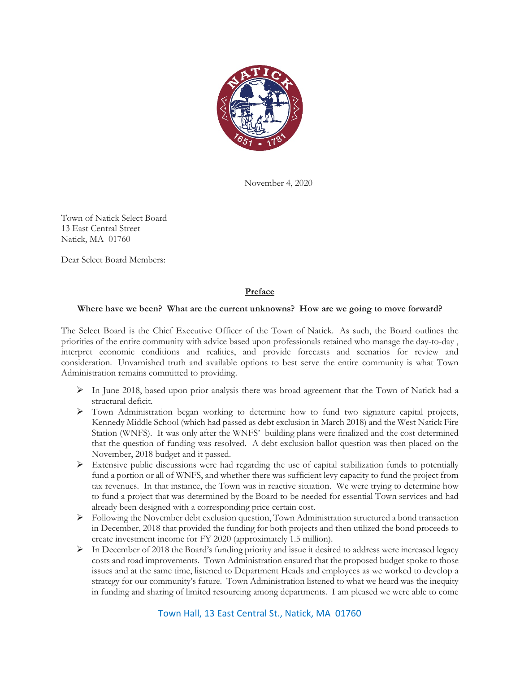

November 4, 2020

Town of Natick Select Board 13 East Central Street Natick, MA 01760

Dear Select Board Members:

## **Preface**

## **Where have we been? What are the current unknowns? How are we going to move forward?**

The Select Board is the Chief Executive Officer of the Town of Natick. As such, the Board outlines the priorities of the entire community with advice based upon professionals retained who manage the day-to-day , interpret economic conditions and realities, and provide forecasts and scenarios for review and consideration. Unvarnished truth and available options to best serve the entire community is what Town Administration remains committed to providing.

- In June 2018, based upon prior analysis there was broad agreement that the Town of Natick had a structural deficit.
- $\triangleright$  Town Administration began working to determine how to fund two signature capital projects, Kennedy Middle School (which had passed as debt exclusion in March 2018) and the West Natick Fire Station (WNFS). It was only after the WNFS' building plans were finalized and the cost determined that the question of funding was resolved. A debt exclusion ballot question was then placed on the November, 2018 budget and it passed.
- $\triangleright$  Extensive public discussions were had regarding the use of capital stabilization funds to potentially fund a portion or all of WNFS, and whether there was sufficient levy capacity to fund the project from tax revenues. In that instance, the Town was in reactive situation. We were trying to determine how to fund a project that was determined by the Board to be needed for essential Town services and had already been designed with a corresponding price certain cost.
- $\triangleright$  Following the November debt exclusion question, Town Administration structured a bond transaction in December, 2018 that provided the funding for both projects and then utilized the bond proceeds to create investment income for FY 2020 (approximately 1.5 million).
- $\triangleright$  In December of 2018 the Board's funding priority and issue it desired to address were increased legacy costs and road improvements. Town Administration ensured that the proposed budget spoke to those issues and at the same time, listened to Department Heads and employees as we worked to develop a strategy for our community's future. Town Administration listened to what we heard was the inequity in funding and sharing of limited resourcing among departments. I am pleased we were able to come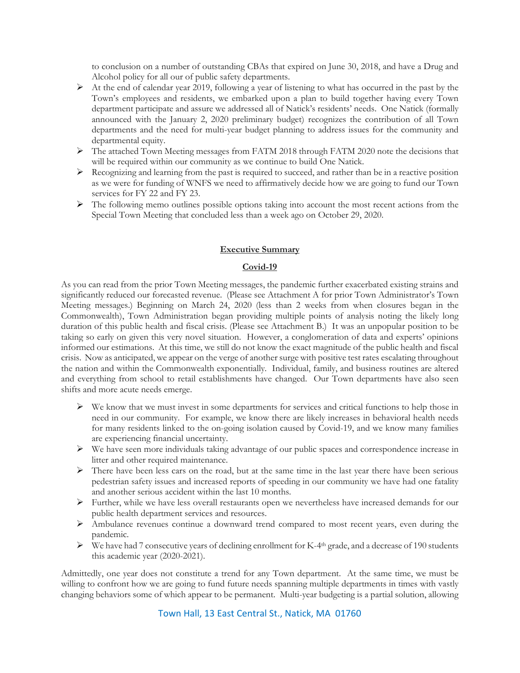to conclusion on a number of outstanding CBAs that expired on June 30, 2018, and have a Drug and Alcohol policy for all our of public safety departments.

- At the end of calendar year 2019, following a year of listening to what has occurred in the past by the Town's employees and residents, we embarked upon a plan to build together having every Town department participate and assure we addressed all of Natick's residents' needs. One Natick (formally announced with the January 2, 2020 preliminary budget) recognizes the contribution of all Town departments and the need for multi-year budget planning to address issues for the community and departmental equity.
- $\triangleright$  The attached Town Meeting messages from FATM 2018 through FATM 2020 note the decisions that will be required within our community as we continue to build One Natick.
- Recognizing and learning from the past is required to succeed, and rather than be in a reactive position as we were for funding of WNFS we need to affirmatively decide how we are going to fund our Town services for FY 22 and FY 23.
- $\triangleright$  The following memo outlines possible options taking into account the most recent actions from the Special Town Meeting that concluded less than a week ago on October 29, 2020.

#### **Executive Summary**

#### **Covid-19**

As you can read from the prior Town Meeting messages, the pandemic further exacerbated existing strains and significantly reduced our forecasted revenue. (Please see Attachment A for prior Town Administrator's Town Meeting messages.) Beginning on March 24, 2020 (less than 2 weeks from when closures began in the Commonwealth), Town Administration began providing multiple points of analysis noting the likely long duration of this public health and fiscal crisis. (Please see Attachment B.) It was an unpopular position to be taking so early on given this very novel situation. However, a conglomeration of data and experts' opinions informed our estimations. At this time, we still do not know the exact magnitude of the public health and fiscal crisis. Now as anticipated, we appear on the verge of another surge with positive test rates escalating throughout the nation and within the Commonwealth exponentially. Individual, family, and business routines are altered and everything from school to retail establishments have changed. Our Town departments have also seen shifts and more acute needs emerge.

- $\triangleright$  We know that we must invest in some departments for services and critical functions to help those in need in our community. For example, we know there are likely increases in behavioral health needs for many residents linked to the on-going isolation caused by Covid-19, and we know many families are experiencing financial uncertainty.
- $\triangleright$  We have seen more individuals taking advantage of our public spaces and correspondence increase in litter and other required maintenance.
- There have been less cars on the road, but at the same time in the last year there have been serious pedestrian safety issues and increased reports of speeding in our community we have had one fatality and another serious accident within the last 10 months.
- Further, while we have less overall restaurants open we nevertheless have increased demands for our public health department services and resources.
- $\triangleright$  Ambulance revenues continue a downward trend compared to most recent years, even during the pandemic.
- $\triangleright$  We have had 7 consecutive years of declining enrollment for K-4<sup>th</sup> grade, and a decrease of 190 students this academic year (2020-2021).

Admittedly, one year does not constitute a trend for any Town department. At the same time, we must be willing to confront how we are going to fund future needs spanning multiple departments in times with vastly changing behaviors some of which appear to be permanent. Multi-year budgeting is a partial solution, allowing

Town Hall, 13 East Central St., Natick, MA 01760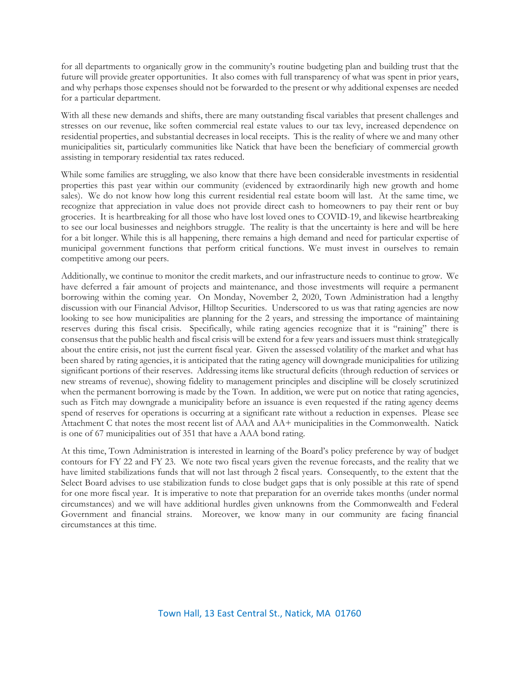for all departments to organically grow in the community's routine budgeting plan and building trust that the future will provide greater opportunities. It also comes with full transparency of what was spent in prior years, and why perhaps those expenses should not be forwarded to the present or why additional expenses are needed for a particular department.

With all these new demands and shifts, there are many outstanding fiscal variables that present challenges and stresses on our revenue, like soften commercial real estate values to our tax levy, increased dependence on residential properties, and substantial decreases in local receipts. This is the reality of where we and many other municipalities sit, particularly communities like Natick that have been the beneficiary of commercial growth assisting in temporary residential tax rates reduced.

While some families are struggling, we also know that there have been considerable investments in residential properties this past year within our community (evidenced by extraordinarily high new growth and home sales). We do not know how long this current residential real estate boom will last. At the same time, we recognize that appreciation in value does not provide direct cash to homeowners to pay their rent or buy groceries. It is heartbreaking for all those who have lost loved ones to COVID-19, and likewise heartbreaking to see our local businesses and neighbors struggle. The reality is that the uncertainty is here and will be here for a bit longer. While this is all happening, there remains a high demand and need for particular expertise of municipal government functions that perform critical functions. We must invest in ourselves to remain competitive among our peers.

Additionally, we continue to monitor the credit markets, and our infrastructure needs to continue to grow. We have deferred a fair amount of projects and maintenance, and those investments will require a permanent borrowing within the coming year. On Monday, November 2, 2020, Town Administration had a lengthy discussion with our Financial Advisor, Hilltop Securities. Underscored to us was that rating agencies are now looking to see how municipalities are planning for the 2 years, and stressing the importance of maintaining reserves during this fiscal crisis. Specifically, while rating agencies recognize that it is "raining" there is consensus that the public health and fiscal crisis will be extend for a few years and issuers must think strategically about the entire crisis, not just the current fiscal year. Given the assessed volatility of the market and what has been shared by rating agencies, it is anticipated that the rating agency will downgrade municipalities for utilizing significant portions of their reserves. Addressing items like structural deficits (through reduction of services or new streams of revenue), showing fidelity to management principles and discipline will be closely scrutinized when the permanent borrowing is made by the Town. In addition, we were put on notice that rating agencies, such as Fitch may downgrade a municipality before an issuance is even requested if the rating agency deems spend of reserves for operations is occurring at a significant rate without a reduction in expenses. Please see Attachment C that notes the most recent list of AAA and AA+ municipalities in the Commonwealth. Natick is one of 67 municipalities out of 351 that have a AAA bond rating.

At this time, Town Administration is interested in learning of the Board's policy preference by way of budget contours for FY 22 and FY 23. We note two fiscal years given the revenue forecasts, and the reality that we have limited stabilizations funds that will not last through 2 fiscal years. Consequently, to the extent that the Select Board advises to use stabilization funds to close budget gaps that is only possible at this rate of spend for one more fiscal year. It is imperative to note that preparation for an override takes months (under normal circumstances) and we will have additional hurdles given unknowns from the Commonwealth and Federal Government and financial strains. Moreover, we know many in our community are facing financial circumstances at this time.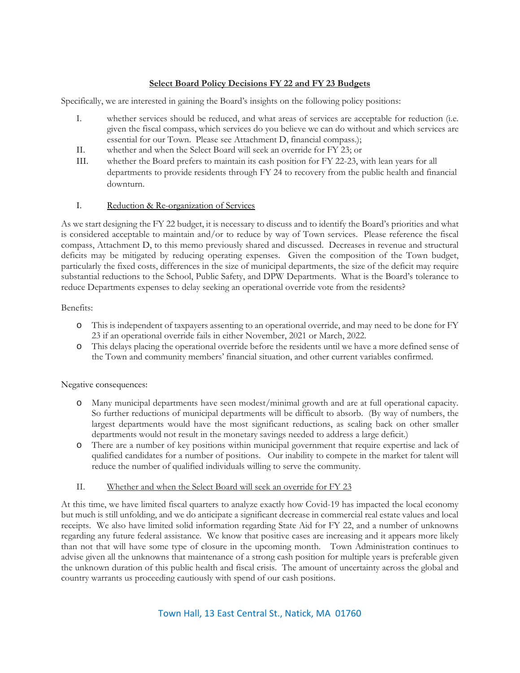## **Select Board Policy Decisions FY 22 and FY 23 Budgets**

Specifically, we are interested in gaining the Board's insights on the following policy positions:

- I. whether services should be reduced, and what areas of services are acceptable for reduction (i.e. given the fiscal compass, which services do you believe we can do without and which services are essential for our Town. Please see Attachment D, financial compass.);
- II. whether and when the Select Board will seek an override for FY 23; or
- III. whether the Board prefers to maintain its cash position for FY 22-23, with lean years for all departments to provide residents through FY 24 to recovery from the public health and financial downturn.

## I. Reduction & Re-organization of Services

As we start designing the FY 22 budget, it is necessary to discuss and to identify the Board's priorities and what is considered acceptable to maintain and/or to reduce by way of Town services. Please reference the fiscal compass, Attachment D, to this memo previously shared and discussed. Decreases in revenue and structural deficits may be mitigated by reducing operating expenses. Given the composition of the Town budget, particularly the fixed costs, differences in the size of municipal departments, the size of the deficit may require substantial reductions to the School, Public Safety, and DPW Departments. What is the Board's tolerance to reduce Departments expenses to delay seeking an operational override vote from the residents?

## Benefits:

- o This is independent of taxpayers assenting to an operational override, and may need to be done for FY 23 if an operational override fails in either November, 2021 or March, 2022.
- o This delays placing the operational override before the residents until we have a more defined sense of the Town and community members' financial situation, and other current variables confirmed.

## Negative consequences:

- Many municipal departments have seen modest/minimal growth and are at full operational capacity. So further reductions of municipal departments will be difficult to absorb. (By way of numbers, the largest departments would have the most significant reductions, as scaling back on other smaller departments would not result in the monetary savings needed to address a large deficit.)
- o There are a number of key positions within municipal government that require expertise and lack of qualified candidates for a number of positions. Our inability to compete in the market for talent will reduce the number of qualified individuals willing to serve the community.
- II. Whether and when the Select Board will seek an override for FY 23

At this time, we have limited fiscal quarters to analyze exactly how Covid-19 has impacted the local economy but much is still unfolding, and we do anticipate a significant decrease in commercial real estate values and local receipts. We also have limited solid information regarding State Aid for FY 22, and a number of unknowns regarding any future federal assistance. We know that positive cases are increasing and it appears more likely than not that will have some type of closure in the upcoming month. Town Administration continues to advise given all the unknowns that maintenance of a strong cash position for multiple years is preferable given the unknown duration of this public health and fiscal crisis. The amount of uncertainty across the global and country warrants us proceeding cautiously with spend of our cash positions.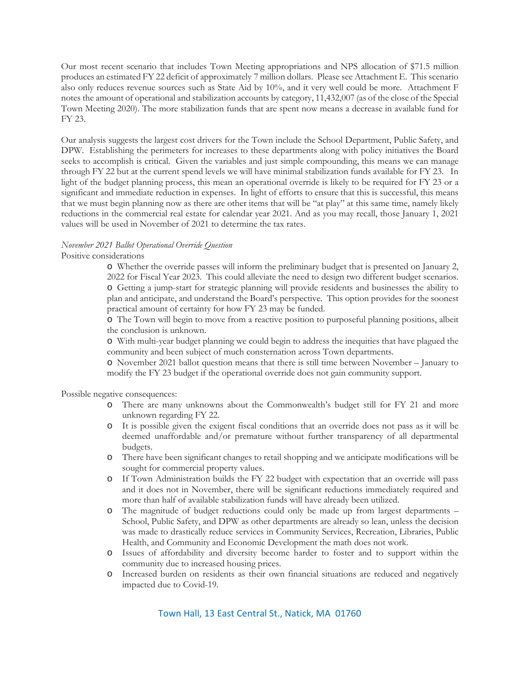Our most recent scenario that includes Town Meeting appropriations and NPS allocation of \$71.5 million produces an estimated FY 22 deficit of approximately 7 million dollars. Please see Attachment E. This scenario also only reduces revenue sources such as State Aid by 10%, and it very well could be more. Attachment F notes the amount of operational and stabilization accounts by category, 11,432,007 (as of the close of the Special Town Meeting 2020). The more stabilization funds that are spent now means a decrease in available fund for FY 23.

Our analysis suggests the largest cost drivers for the Town include the School Department, Public Safety, and DPW. Establishing the perimeters for increases to these departments along with policy initiatives the Board seeks to accomplish is critical. Given the variables and just simple compounding, this means we can manage through FY 22 but at the current spend levels we will have minimal stabilization funds available for FY 23. In light of the budget planning process, this mean an operational override is likely to be required for FY 23 or a significant and immediate reduction in expenses. In light of efforts to ensure that this is successful, this means that we must begin planning now as there are other items that will be "at play" at this same time, namely likely reductions in the commercial real estate for calendar year 2021. And as you may recall, those January 1, 2021 values will be used in November of 2021 to determine the tax rates.

# *November 2021 Ballot Operational Override Question*

Positive considerations

o Whether the override passes will inform the preliminary budget that is presented on January 2, 2022 for Fiscal Year 2023. This could alleviate the need to design two different budget scenarios. o Getting a jump-start for strategic planning will provide residents and businesses the ability to plan and anticipate, and understand the Board's perspective. This option provides for the soonest practical amount of certainty for how FY 23 may be funded.

o The Town will begin to move from a reactive position to purposeful planning positions, albeit the conclusion is unknown.

o With multi-year budget planning we could begin to address the inequities that have plagued the community and been subject of much consternation across Town departments.

o November 2021 ballot question means that there is still time between November – January to modify the FY 23 budget if the operational override does not gain community support.

Possible negative consequences:

- o There are many unknowns about the Commonwealth's budget still for FY 21 and more unknown regarding FY 22.
- o It is possible given the exigent fiscal conditions that an override does not pass as it will be deemed unaffordable and/or premature without further transparency of all departmental budgets.
- o There have been significant changes to retail shopping and we anticipate modifications will be sought for commercial property values.
- o If Town Administration builds the FY 22 budget with expectation that an override will pass and it does not in November, there will be significant reductions immediately required and more than half of available stabilization funds will have already been utilized.
- o The magnitude of budget reductions could only be made up from largest departments School, Public Safety, and DPW as other departments are already so lean, unless the decision was made to drastically reduce services in Community Services, Recreation, Libraries, Public Health, and Community and Economic Development the math does not work.
- o Issues of affordability and diversity become harder to foster and to support within the community due to increased housing prices.
- o Increased burden on residents as their own financial situations are reduced and negatively impacted due to Covid-19.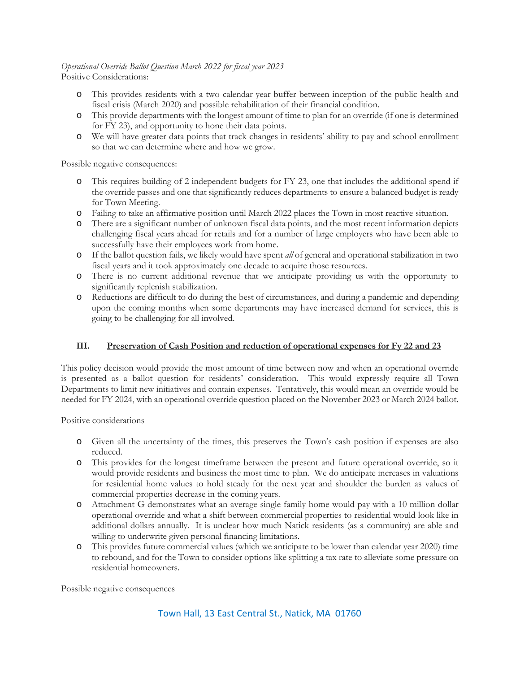#### *Operational Override Ballot Question March 2022 for fiscal year 2023* Positive Considerations:

- o This provides residents with a two calendar year buffer between inception of the public health and fiscal crisis (March 2020) and possible rehabilitation of their financial condition.
- o This provide departments with the longest amount of time to plan for an override (if one is determined for FY 23), and opportunity to hone their data points.
- o We will have greater data points that track changes in residents' ability to pay and school enrollment so that we can determine where and how we grow.

Possible negative consequences:

- o This requires building of 2 independent budgets for FY 23, one that includes the additional spend if the override passes and one that significantly reduces departments to ensure a balanced budget is ready for Town Meeting.
- o Failing to take an affirmative position until March 2022 places the Town in most reactive situation.
- o There are a significant number of unknown fiscal data points, and the most recent information depicts challenging fiscal years ahead for retails and for a number of large employers who have been able to successfully have their employees work from home.
- o If the ballot question fails, we likely would have spent *all* of general and operational stabilization in two fiscal years and it took approximately one decade to acquire those resources.
- o There is no current additional revenue that we anticipate providing us with the opportunity to significantly replenish stabilization.
- o Reductions are difficult to do during the best of circumstances, and during a pandemic and depending upon the coming months when some departments may have increased demand for services, this is going to be challenging for all involved.

## **III. Preservation of Cash Position and reduction of operational expenses for Fy 22 and 23**

This policy decision would provide the most amount of time between now and when an operational override is presented as a ballot question for residents' consideration. This would expressly require all Town Departments to limit new initiatives and contain expenses. Tentatively, this would mean an override would be needed for FY 2024, with an operational override question placed on the November 2023 or March 2024 ballot.

Positive considerations

- o Given all the uncertainty of the times, this preserves the Town's cash position if expenses are also reduced.
- o This provides for the longest timeframe between the present and future operational override, so it would provide residents and business the most time to plan. We do anticipate increases in valuations for residential home values to hold steady for the next year and shoulder the burden as values of commercial properties decrease in the coming years.
- o Attachment G demonstrates what an average single family home would pay with a 10 million dollar operational override and what a shift between commercial properties to residential would look like in additional dollars annually. It is unclear how much Natick residents (as a community) are able and willing to underwrite given personal financing limitations.
- o This provides future commercial values (which we anticipate to be lower than calendar year 2020) time to rebound, and for the Town to consider options like splitting a tax rate to alleviate some pressure on residential homeowners.

Possible negative consequences